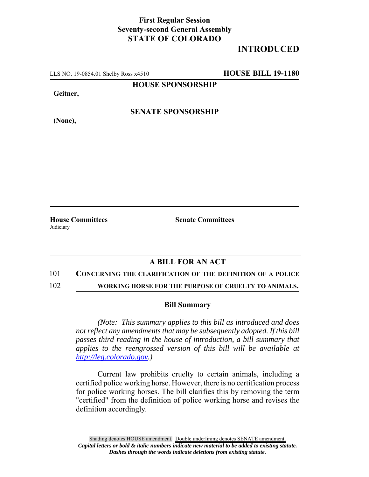## **First Regular Session Seventy-second General Assembly STATE OF COLORADO**

# **INTRODUCED**

LLS NO. 19-0854.01 Shelby Ross x4510 **HOUSE BILL 19-1180**

**HOUSE SPONSORSHIP**

**Geitner,**

**SENATE SPONSORSHIP**

**(None),**

Judiciary

**House Committees Senate Committees** 

### **A BILL FOR AN ACT**

### 101 **CONCERNING THE CLARIFICATION OF THE DEFINITION OF A POLICE**

102 **WORKING HORSE FOR THE PURPOSE OF CRUELTY TO ANIMALS.**

#### **Bill Summary**

*(Note: This summary applies to this bill as introduced and does not reflect any amendments that may be subsequently adopted. If this bill passes third reading in the house of introduction, a bill summary that applies to the reengrossed version of this bill will be available at http://leg.colorado.gov.)*

Current law prohibits cruelty to certain animals, including a certified police working horse. However, there is no certification process for police working horses. The bill clarifies this by removing the term "certified" from the definition of police working horse and revises the definition accordingly.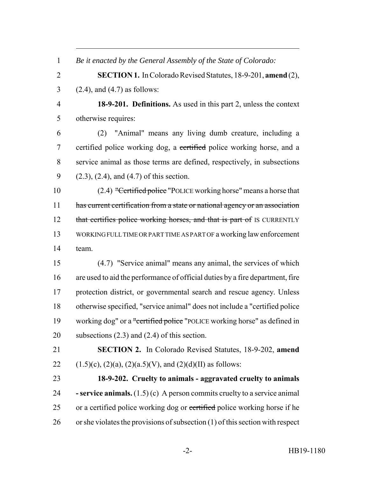| $\mathbf{1}$   | Be it enacted by the General Assembly of the State of Colorado:                   |
|----------------|-----------------------------------------------------------------------------------|
| $\overline{2}$ | <b>SECTION 1.</b> In Colorado Revised Statutes, 18-9-201, amend (2),              |
| 3              | $(2.4)$ , and $(4.7)$ as follows:                                                 |
| $\overline{4}$ | 18-9-201. Definitions. As used in this part 2, unless the context                 |
| 5              | otherwise requires:                                                               |
| 6              | (2) "Animal" means any living dumb creature, including a                          |
| 7              | certified police working dog, a certified police working horse, and a             |
| 8              | service animal as those terms are defined, respectively, in subsections           |
| 9              | $(2.3)$ , $(2.4)$ , and $(4.7)$ of this section.                                  |
| 10             | (2.4) "Certified police "POLICE working horse" means a horse that                 |
| 11             | has current certification from a state or national agency or an association       |
| 12             | that certifies police working horses, and that is part of IS CURRENTLY            |
| 13             | WORKING FULL TIME OR PART TIME AS PART OF a working law enforcement               |
| 14             | team.                                                                             |
| 15             | (4.7) "Service animal" means any animal, the services of which                    |
| 16             | are used to aid the performance of official duties by a fire department, fire     |
| 17             | protection district, or governmental search and rescue agency. Unless             |
| 18             | otherwise specified, "service animal" does not include a "certified police"       |
| 19             | working dog" or a "certified police "POLICE working horse" as defined in          |
| 20             | subsections $(2.3)$ and $(2.4)$ of this section.                                  |
| 21             | SECTION 2. In Colorado Revised Statutes, 18-9-202, amend                          |
| 22             | $(1.5)(c)$ , $(2)(a)$ , $(2)(a.5)(V)$ , and $(2)(d)(II)$ as follows:              |
| 23             | 18-9-202. Cruelty to animals - aggravated cruelty to animals                      |
| 24             | <b>- service animals.</b> $(1.5)(c)$ A person commits cruelty to a service animal |
| 25             | or a certified police working dog or certified police working horse if he         |
| 26             | or she violates the provisions of subsection $(1)$ of this section with respect   |
|                |                                                                                   |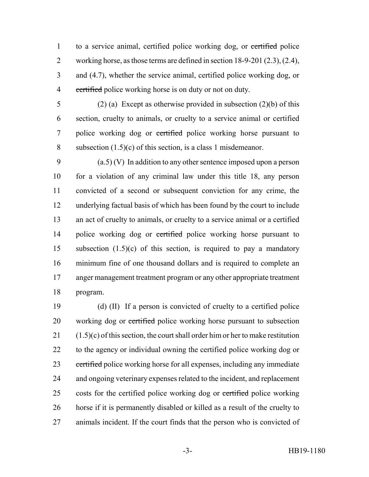1 to a service animal, certified police working dog, or certified police 2 working horse, as those terms are defined in section 18-9-201 (2.3), (2.4), and (4.7), whether the service animal, certified police working dog, or 4 certified police working horse is on duty or not on duty.

 (2) (a) Except as otherwise provided in subsection (2)(b) of this section, cruelty to animals, or cruelty to a service animal or certified police working dog or certified police working horse pursuant to 8 subsection  $(1.5)(c)$  of this section, is a class 1 misdemeanor.

 (a.5) (V) In addition to any other sentence imposed upon a person for a violation of any criminal law under this title 18, any person convicted of a second or subsequent conviction for any crime, the underlying factual basis of which has been found by the court to include an act of cruelty to animals, or cruelty to a service animal or a certified 14 police working dog or certified police working horse pursuant to subsection (1.5)(c) of this section, is required to pay a mandatory minimum fine of one thousand dollars and is required to complete an anger management treatment program or any other appropriate treatment program.

 (d) (II) If a person is convicted of cruelty to a certified police 20 working dog or certified police working horse pursuant to subsection (1.5)(c) of this section, the court shall order him or her to make restitution to the agency or individual owning the certified police working dog or 23 certified police working horse for all expenses, including any immediate and ongoing veterinary expenses related to the incident, and replacement 25 costs for the certified police working dog or certified police working horse if it is permanently disabled or killed as a result of the cruelty to animals incident. If the court finds that the person who is convicted of